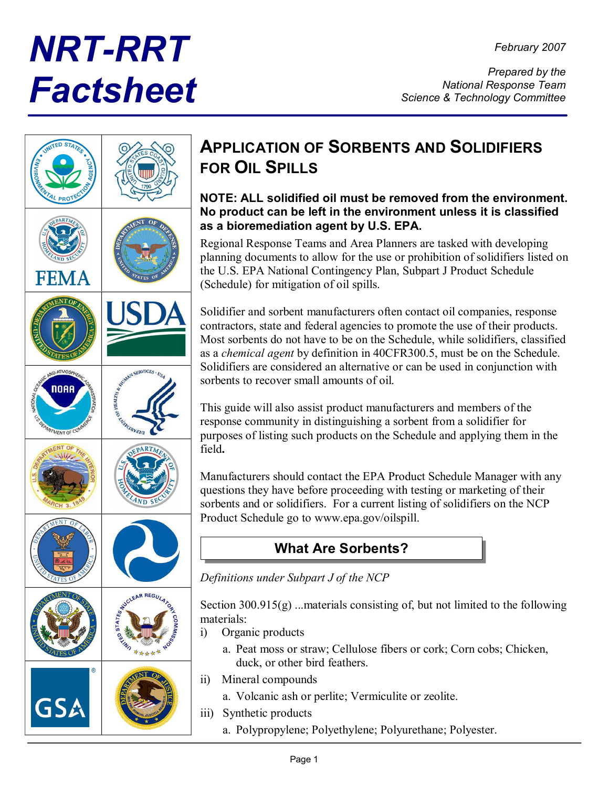# *NRT-RRT Factsheet*



# **APPLICATION OF SORBENTS AND SOLIDIFIERS FOR OIL SPILLS**

#### **NOTE: ALL solidified oil must be removed from the environment. No product can be left in the environment unless it is classified as a bioremediation agent by U.S. EPA.**

Regional Response Teams and Area Planners are tasked with developing planning documents to allow for the use or prohibition of solidifiers listed on the U.S. EPA National Contingency Plan, Subpart J Product Schedule (Schedule) for mitigation of oil spills.

Solidifier and sorbent manufacturers often contact oil companies, response contractors, state and federal agencies to promote the use of their products. Most sorbents do not have to be on the Schedule, while solidifiers, classified as a *chemical agent* by definition in 40CFR300.5, must be on the Schedule. Solidifiers are considered an alternative or can be used in conjunction with sorbents to recover small amounts of oil.

This guide will also assist product manufacturers and members of the response community in distinguishing a sorbent from a solidifier for purposes of listing such products on the Schedule and applying them in the field**.**

Manufacturers should contact the EPA Product Schedule Manager with any questions they have before proceeding with testing or marketing of their sorbents and or solidifiers. For a current listing of solidifiers on the NCP Product Schedule go to www.epa.gov/oilspill.

## **What Are Sorbents?**

*Definitions under Subpart J of the NCP*

Section  $300.915(g)$  ...materials consisting of, but not limited to the following materials:

- i) Organic products
	- a. Peat moss or straw; Cellulose fibers or cork; Corn cobs; Chicken, duck, or other bird feathers.
- ii) Mineral compounds
	- a. Volcanic ash or perlite; Vermiculite or zeolite.
- iii) Synthetic products
	- a. Polypropylene; Polyethylene; Polyurethane; Polyester.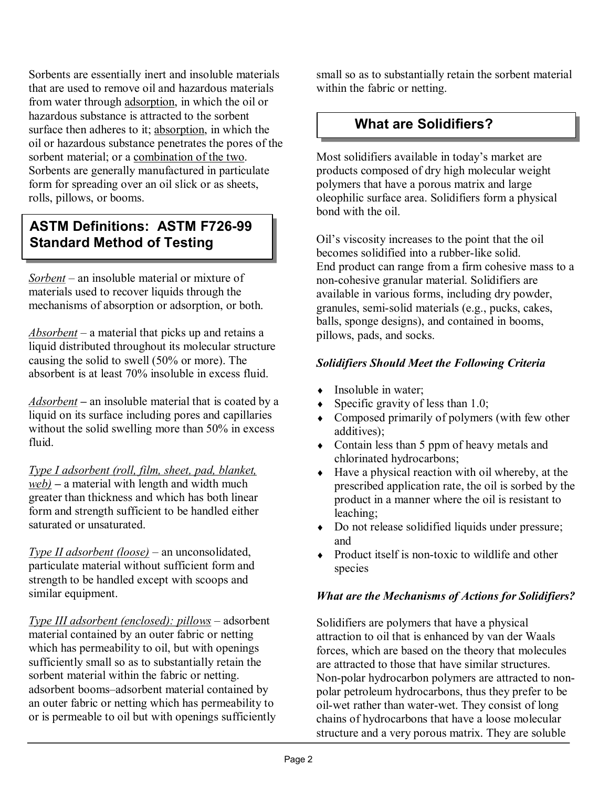Sorbents are essentially inert and insoluble materials that are used to remove oil and hazardous materials from water through adsorption, in which the oil or hazardous substance is attracted to the sorbent surface then adheres to it; absorption, in which the oil or hazardous substance penetrates the pores of the sorbent material; or a combination of the two. Sorbents are generally manufactured in particulate form for spreading over an oil slick or as sheets, rolls, pillows, or booms.

## **ASTM Definitions: ASTM F726-99 Standard Method of Testing**

*Sorbent* – an insoluble material or mixture of materials used to recover liquids through the mechanisms of absorption or adsorption, or both.

*Absorbent* – a material that picks up and retains a liquid distributed throughout its molecular structure causing the solid to swell (50% or more). The absorbent is at least 70% insoluble in excess fluid.

*Adsorbent* **–** an insoluble material that is coated by a liquid on its surface including pores and capillaries without the solid swelling more than 50% in excess fluid.

*Type I adsorbent (roll, film, sheet, pad, blanket, web) –* a material with length and width much greater than thickness and which has both linear form and strength sufficient to be handled either saturated or unsaturated.

*Type II adsorbent (loose) –* an unconsolidated, particulate material without sufficient form and strength to be handled except with scoops and similar equipment.

*Type III adsorbent (enclosed): pillows* – adsorbent material contained by an outer fabric or netting which has permeability to oil, but with openings sufficiently small so as to substantially retain the sorbent material within the fabric or netting. adsorbent booms–adsorbent material contained by an outer fabric or netting which has permeability to or is permeable to oil but with openings sufficiently small so as to substantially retain the sorbent material within the fabric or netting.

### **What are Solidifiers?**

Most solidifiers available in today's market are products composed of dry high molecular weight polymers that have a porous matrix and large oleophilic surface area. Solidifiers form a physical bond with the oil.

Oil's viscosity increases to the point that the oil becomes solidified into a rubber-like solid. End product can range from a firm cohesive mass to a non-cohesive granular material. Solidifiers are available in various forms, including dry powder, granules, semi-solid materials (e.g., pucks, cakes, balls, sponge designs), and contained in booms, pillows, pads, and socks.

#### *Solidifiers Should Meet the Following Criteria*

- $\bullet$  Insoluble in water;
- $\bullet$  Specific gravity of less than 1.0;
- $\bullet$  Composed primarily of polymers (with few other additives);
- Contain less than 5 ppm of heavy metals and chlorinated hydrocarbons;
- $\bullet$  Have a physical reaction with oil whereby, at the prescribed application rate, the oil is sorbed by the product in a manner where the oil is resistant to leaching;
- Do not release solidified liquids under pressure; and
- $\rightarrow$  Product itself is non-toxic to wildlife and other species

#### *What are the Mechanisms of Actions for Solidifiers?*

Solidifiers are polymers that have a physical attraction to oil that is enhanced by van der Waals forces, which are based on the theory that molecules are attracted to those that have similar structures. Non-polar hydrocarbon polymers are attracted to nonpolar petroleum hydrocarbons, thus they prefer to be oil-wet rather than water-wet. They consist of long chains of hydrocarbons that have a loose molecular structure and a very porous matrix. They are soluble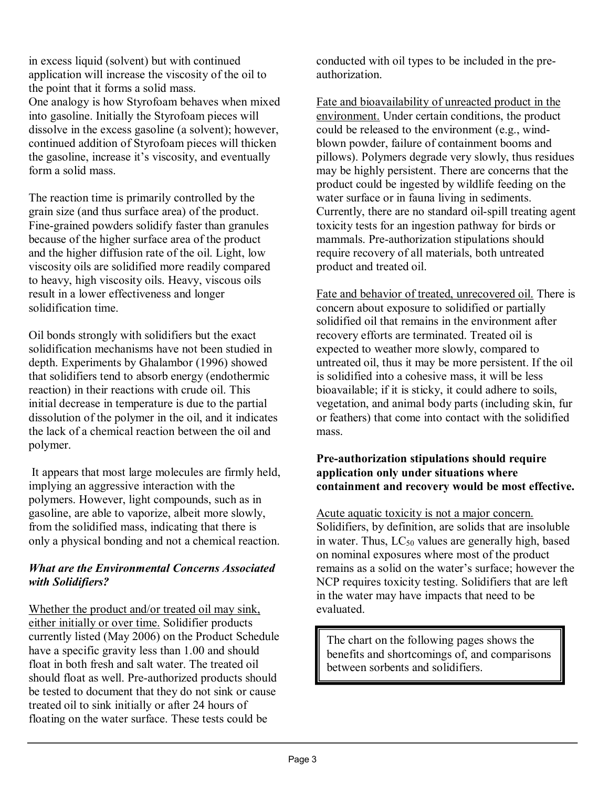in excess liquid (solvent) but with continued application will increase the viscosity of the oil to the point that it forms a solid mass. One analogy is how Styrofoam behaves when mixed into gasoline. Initially the Styrofoam pieces will dissolve in the excess gasoline (a solvent); however, continued addition of Styrofoam pieces will thicken the gasoline, increase it's viscosity, and eventually form a solid mass.

The reaction time is primarily controlled by the grain size (and thus surface area) of the product. Fine-grained powders solidify faster than granules because of the higher surface area of the product and the higher diffusion rate of the oil. Light, low viscosity oils are solidified more readily compared to heavy, high viscosity oils. Heavy, viscous oils result in a lower effectiveness and longer solidification time.

Oil bonds strongly with solidifiers but the exact solidification mechanisms have not been studied in depth. Experiments by Ghalambor (1996) showed that solidifiers tend to absorb energy (endothermic reaction) in their reactions with crude oil. This initial decrease in temperature is due to the partial dissolution of the polymer in the oil, and it indicates the lack of a chemical reaction between the oil and polymer.

It appears that most large molecules are firmly held, implying an aggressive interaction with the polymers. However, light compounds, such as in gasoline, are able to vaporize, albeit more slowly, from the solidified mass, indicating that there is only a physical bonding and not a chemical reaction.

#### *What are the Environmental Concerns Associated with Solidifiers?*

Whether the product and/or treated oil may sink, either initially or over time. Solidifier products currently listed (May 2006) on the Product Schedule have a specific gravity less than 1.00 and should float in both fresh and salt water. The treated oil should float as well. Pre-authorized products should be tested to document that they do not sink or cause treated oil to sink initially or after 24 hours of floating on the water surface. These tests could be

conducted with oil types to be included in the pre authorization.

Fate and bioavailability of unreacted product in the environment. Under certain conditions, the product could be released to the environment (e.g., windblown powder, failure of containment booms and pillows). Polymers degrade very slowly, thus residues may be highly persistent. There are concerns that the product could be ingested by wildlife feeding on the water surface or in fauna living in sediments. Currently, there are no standard oil-spill treating agent toxicity tests for an ingestion pathway for birds or mammals. Pre-authorization stipulations should require recovery of all materials, both untreated product and treated oil.

Fate and behavior of treated, unrecovered oil. There is concern about exposure to solidified or partially solidified oil that remains in the environment after recovery efforts are terminated. Treated oil is expected to weather more slowly, compared to untreated oil, thus it may be more persistent. If the oil is solidified into a cohesive mass, it will be less bioavailable; if it is sticky, it could adhere to soils, vegetation, and animal body parts (including skin, fur or feathers) that come into contact with the solidified mass.

#### **Pre-authorization stipulations should require application only under situations where containment and recovery would be most effective.**

Acute aquatic toxicity is not a major concern. Solidifiers, by definition, are solids that are insoluble in water. Thus,  $LC_{50}$  values are generally high, based on nominal exposures where most of the product remains as a solid on the water's surface; however the NCP requires toxicity testing. Solidifiers that are left in the water may have impacts that need to be evaluated.

The chart on the following pages shows the benefits and shortcomings of, and comparisons between sorbents and solidifiers.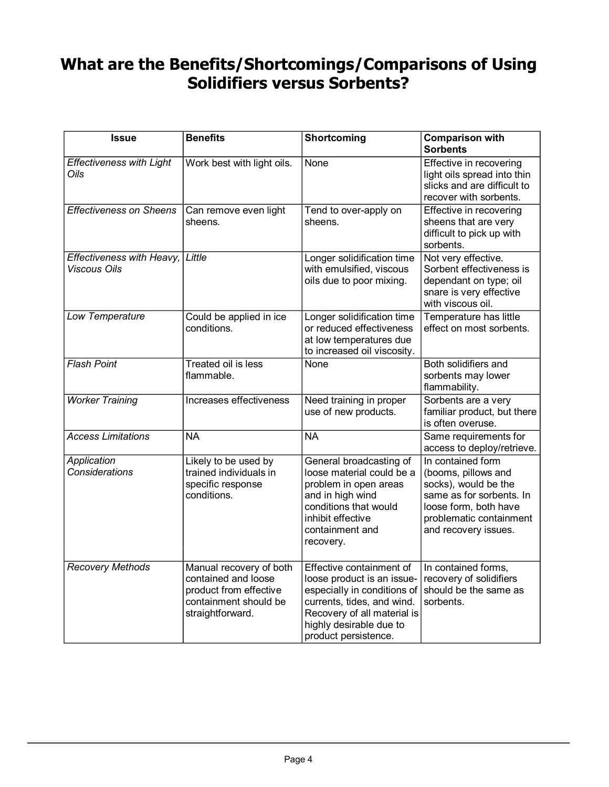## **What are the Benefits/Shortcomings/Comparisons of Using Solidifiers versus Sorbents?**

| <b>Issue</b>                                     | <b>Benefits</b>                                                                                                       | Shortcoming                                                                                                                                                                                           | <b>Comparison with</b><br><b>Sorbents</b>                                                                                                                                |
|--------------------------------------------------|-----------------------------------------------------------------------------------------------------------------------|-------------------------------------------------------------------------------------------------------------------------------------------------------------------------------------------------------|--------------------------------------------------------------------------------------------------------------------------------------------------------------------------|
| <b>Effectiveness with Light</b><br>Oils          | Work best with light oils.                                                                                            | None                                                                                                                                                                                                  | Effective in recovering<br>light oils spread into thin<br>slicks and are difficult to<br>recover with sorbents.                                                          |
| <b>Effectiveness on Sheens</b>                   | Can remove even light<br>sheens.                                                                                      | Tend to over-apply on<br>sheens.                                                                                                                                                                      | Effective in recovering<br>sheens that are very<br>difficult to pick up with<br>sorbents.                                                                                |
| Effectiveness with Heavy,<br><b>Viscous Oils</b> | Little                                                                                                                | Longer solidification time<br>with emulsified, viscous<br>oils due to poor mixing.                                                                                                                    | Not very effective.<br>Sorbent effectiveness is<br>dependant on type; oil<br>snare is very effective<br>with viscous oil.                                                |
| Low Temperature                                  | Could be applied in ice<br>conditions.                                                                                | Longer solidification time<br>or reduced effectiveness<br>at low temperatures due<br>to increased oil viscosity.                                                                                      | Temperature has little<br>effect on most sorbents.                                                                                                                       |
| <b>Flash Point</b>                               | Treated oil is less<br>flammable.                                                                                     | None                                                                                                                                                                                                  | Both solidifiers and<br>sorbents may lower<br>flammability.                                                                                                              |
| <b>Worker Training</b>                           | Increases effectiveness                                                                                               | Need training in proper<br>use of new products.                                                                                                                                                       | Sorbents are a very<br>familiar product, but there<br>is often overuse.                                                                                                  |
| <b>Access Limitations</b>                        | <b>NA</b>                                                                                                             | <b>NA</b>                                                                                                                                                                                             | Same requirements for<br>access to deploy/retrieve.                                                                                                                      |
| Application<br><b>Considerations</b>             | Likely to be used by<br>trained individuals in<br>specific response<br>conditions.                                    | General broadcasting of<br>loose material could be a<br>problem in open areas<br>and in high wind<br>conditions that would<br>inhibit effective<br>containment and<br>recovery.                       | In contained form<br>(booms, pillows and<br>socks), would be the<br>same as for sorbents. In<br>loose form, both have<br>problematic containment<br>and recovery issues. |
| <b>Recovery Methods</b>                          | Manual recovery of both<br>contained and loose<br>product from effective<br>containment should be<br>straightforward. | Effective containment of<br>loose product is an issue-<br>especially in conditions of<br>currents, tides, and wind.<br>Recovery of all material is<br>highly desirable due to<br>product persistence. | In contained forms,<br>recovery of solidifiers<br>should be the same as<br>sorbents.                                                                                     |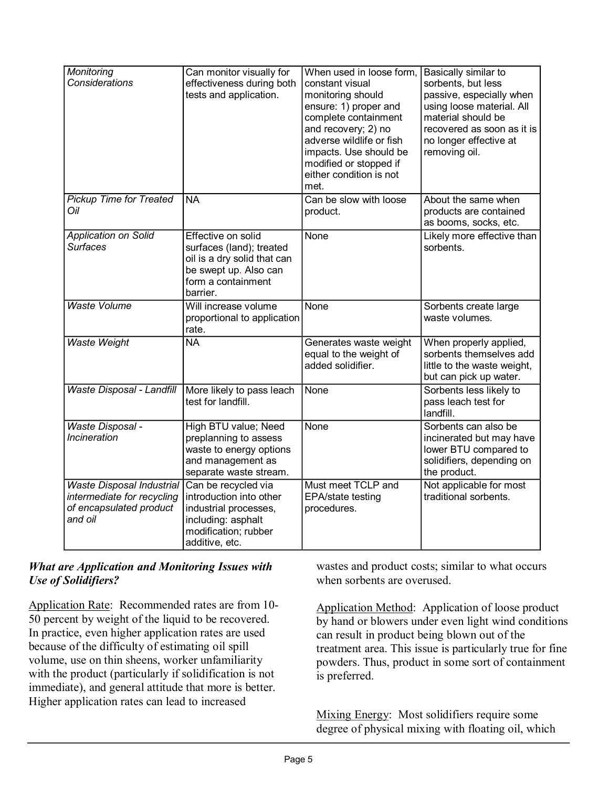| Monitoring<br><b>Considerations</b>                                                                  | Can monitor visually for<br>effectiveness during both<br>tests and application.                                                          | When used in loose form,<br>constant visual<br>monitoring should<br>ensure: 1) proper and<br>complete containment<br>and recovery; 2) no<br>adverse wildlife or fish<br>impacts. Use should be<br>modified or stopped if<br>either condition is not<br>met. | Basically similar to<br>sorbents, but less<br>passive, especially when<br>using loose material. All<br>material should be<br>recovered as soon as it is<br>no longer effective at<br>removing oil. |
|------------------------------------------------------------------------------------------------------|------------------------------------------------------------------------------------------------------------------------------------------|-------------------------------------------------------------------------------------------------------------------------------------------------------------------------------------------------------------------------------------------------------------|----------------------------------------------------------------------------------------------------------------------------------------------------------------------------------------------------|
| <b>Pickup Time for Treated</b><br>Oil                                                                | <b>NA</b>                                                                                                                                | Can be slow with loose<br>product.                                                                                                                                                                                                                          | About the same when<br>products are contained<br>as booms, socks, etc.                                                                                                                             |
| <b>Application on Solid</b><br><b>Surfaces</b>                                                       | Effective on solid<br>surfaces (land); treated<br>oil is a dry solid that can<br>be swept up. Also can<br>form a containment<br>barrier. | None                                                                                                                                                                                                                                                        | Likely more effective than<br>sorbents.                                                                                                                                                            |
| <b>Waste Volume</b>                                                                                  | Will increase volume<br>proportional to application<br>rate.                                                                             | None                                                                                                                                                                                                                                                        | Sorbents create large<br>waste volumes.                                                                                                                                                            |
| <b>Waste Weight</b>                                                                                  | <b>NA</b>                                                                                                                                | Generates waste weight<br>equal to the weight of<br>added solidifier.                                                                                                                                                                                       | When properly applied,<br>sorbents themselves add<br>little to the waste weight,<br>but can pick up water.                                                                                         |
| Waste Disposal - Landfill                                                                            | More likely to pass leach<br>test for landfill.                                                                                          | None                                                                                                                                                                                                                                                        | Sorbents less likely to<br>pass leach test for<br>landfill.                                                                                                                                        |
| <b>Waste Disposal -</b><br><b>Incineration</b>                                                       | High BTU value; Need<br>preplanning to assess<br>waste to energy options<br>and management as<br>separate waste stream.                  | None                                                                                                                                                                                                                                                        | Sorbents can also be<br>incinerated but may have<br>lower BTU compared to<br>solidifiers, depending on<br>the product.                                                                             |
| <b>Waste Disposal Industrial</b><br>intermediate for recycling<br>of encapsulated product<br>and oil | Can be recycled via<br>introduction into other<br>industrial processes,<br>including: asphalt<br>modification; rubber<br>additive, etc.  | Must meet TCLP and<br>EPA/state testing<br>procedures.                                                                                                                                                                                                      | Not applicable for most<br>traditional sorbents.                                                                                                                                                   |

#### *What are Application and Monitoring Issues with Use of Solidifiers?*

Application Rate: Recommended rates are from 10-50 percent by weight of the liquid to be recovered. In practice, even higher application rates are used because of the difficulty of estimating oil spill volume, use on thin sheens, worker unfamiliarity with the product (particularly if solidification is not immediate), and general attitude that more is better. Higher application rates can lead to increased

wastes and product costs; similar to what occurs when sorbents are overused.

Application Method: Application of loose product by hand or blowers under even light wind conditions can result in product being blown out of the treatment area. This issue is particularly true for fine powders. Thus, product in some sort of containment is preferred.

Mixing Energy: Most solidifiers require some degree of physical mixing with floating oil, which